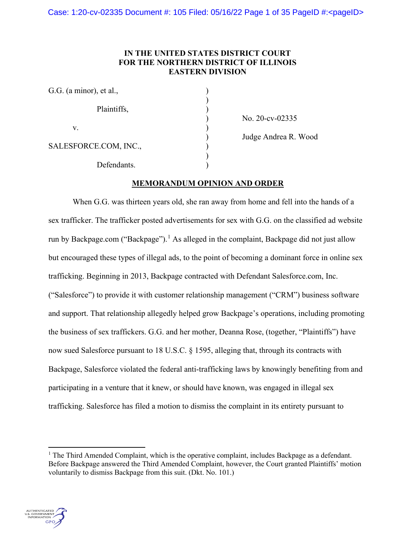# **IN THE UNITED STATES DISTRICT COURT FOR THE NORTHERN DISTRICT OF ILLINOIS EASTERN DIVISION**

| G.G. (a minor), et al., |  |
|-------------------------|--|
| Plaintiffs,             |  |
| V.                      |  |
| SALESFORCE.COM, INC.,   |  |
| Defendants.             |  |

) No. 20-cv-02335

) Judge Andrea R. Wood

# **MEMORANDUM OPINION AND ORDER**

When G.G. was thirteen years old, she ran away from home and fell into the hands of a sex trafficker. The trafficker posted advertisements for sex with G.G. on the classified ad website run by Backpage.com ("Backpage").<sup>[1](#page-0-0)</sup> As alleged in the complaint, Backpage did not just allow but encouraged these types of illegal ads, to the point of becoming a dominant force in online sex trafficking. Beginning in 2013, Backpage contracted with Defendant Salesforce.com, Inc. ("Salesforce") to provide it with customer relationship management ("CRM") business software and support. That relationship allegedly helped grow Backpage's operations, including promoting the business of sex traffickers. G.G. and her mother, Deanna Rose, (together, "Plaintiffs") have now sued Salesforce pursuant to 18 U.S.C. § 1595, alleging that, through its contracts with Backpage, Salesforce violated the federal anti-trafficking laws by knowingly benefiting from and participating in a venture that it knew, or should have known, was engaged in illegal sex trafficking. Salesforce has filed a motion to dismiss the complaint in its entirety pursuant to



<span id="page-0-0"></span><sup>&</sup>lt;sup>1</sup> The Third Amended Complaint, which is the operative complaint, includes Backpage as a defendant. Before Backpage answered the Third Amended Complaint, however, the Court granted Plaintiffs' motion voluntarily to dismiss Backpage from this suit. (Dkt. No. 101.)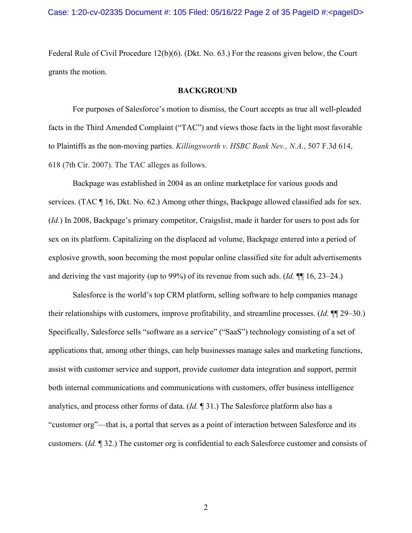Federal Rule of Civil Procedure 12(b)(6). (Dkt. No. 63.) For the reasons given below, the Court grants the motion.

### **BACKGROUND**

For purposes of Salesforce's motion to dismiss, the Court accepts as true all well-pleaded facts in the Third Amended Complaint ("TAC") and views those facts in the light most favorable to Plaintiffs as the non-moving parties. *Killingsworth v. HSBC Bank Nev., N.A.*, 507 F.3d 614, 618 (7th Cir. 2007). The TAC alleges as follows.

Backpage was established in 2004 as an online marketplace for various goods and services. (TAC ¶ 16, Dkt. No. 62.) Among other things, Backpage allowed classified ads for sex. (*Id.*) In 2008, Backpage's primary competitor, Craigslist, made it harder for users to post ads for sex on its platform. Capitalizing on the displaced ad volume, Backpage entered into a period of explosive growth, soon becoming the most popular online classified site for adult advertisements and deriving the vast majority (up to 99%) of its revenue from such ads. (*Id.* ¶¶ 16, 23–24.)

Salesforce is the world's top CRM platform, selling software to help companies manage their relationships with customers, improve profitability, and streamline processes. (*Id.* ¶¶ 29–30.) Specifically, Salesforce sells "software as a service" ("SaaS") technology consisting of a set of applications that, among other things, can help businesses manage sales and marketing functions, assist with customer service and support, provide customer data integration and support, permit both internal communications and communications with customers, offer business intelligence analytics, and process other forms of data. (*Id.* ¶ 31.) The Salesforce platform also has a "customer org"—that is, a portal that serves as a point of interaction between Salesforce and its customers. (*Id.* ¶ 32.) The customer org is confidential to each Salesforce customer and consists of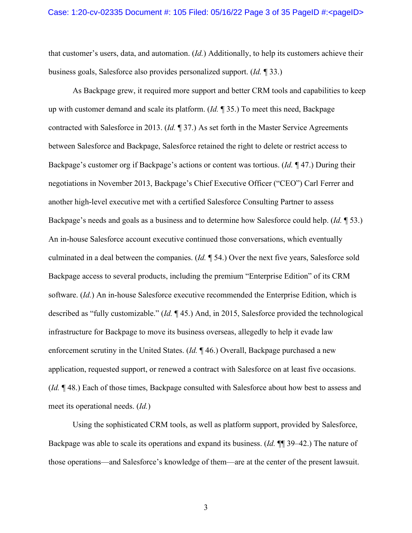that customer's users, data, and automation. (*Id.*) Additionally, to help its customers achieve their business goals, Salesforce also provides personalized support. (*Id.* ¶ 33.)

As Backpage grew, it required more support and better CRM tools and capabilities to keep up with customer demand and scale its platform. (*Id.* ¶ 35.) To meet this need, Backpage contracted with Salesforce in 2013. (*Id.* ¶ 37.) As set forth in the Master Service Agreements between Salesforce and Backpage, Salesforce retained the right to delete or restrict access to Backpage's customer org if Backpage's actions or content was tortious. (*Id.* ¶ 47.) During their negotiations in November 2013, Backpage's Chief Executive Officer ("CEO") Carl Ferrer and another high-level executive met with a certified Salesforce Consulting Partner to assess Backpage's needs and goals as a business and to determine how Salesforce could help. (*Id.* ¶ 53.) An in-house Salesforce account executive continued those conversations, which eventually culminated in a deal between the companies. (*Id.* ¶ 54.) Over the next five years, Salesforce sold Backpage access to several products, including the premium "Enterprise Edition" of its CRM software. (*Id.*) An in-house Salesforce executive recommended the Enterprise Edition, which is described as "fully customizable." (*Id.* ¶ 45.) And, in 2015, Salesforce provided the technological infrastructure for Backpage to move its business overseas, allegedly to help it evade law enforcement scrutiny in the United States. (*Id.* ¶ 46.) Overall, Backpage purchased a new application, requested support, or renewed a contract with Salesforce on at least five occasions. (*Id.* ¶ 48.) Each of those times, Backpage consulted with Salesforce about how best to assess and meet its operational needs. (*Id.*)

Using the sophisticated CRM tools, as well as platform support, provided by Salesforce, Backpage was able to scale its operations and expand its business. (*Id.* ¶¶ 39–42.) The nature of those operations—and Salesforce's knowledge of them—are at the center of the present lawsuit.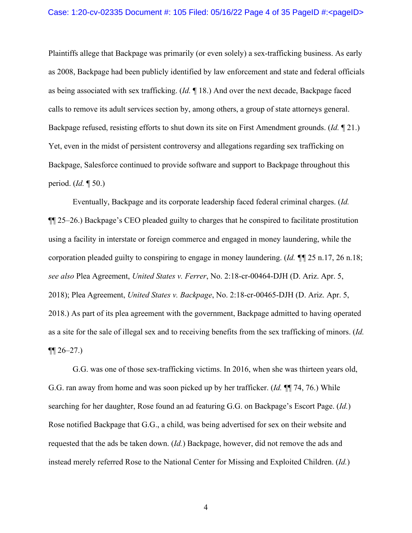Plaintiffs allege that Backpage was primarily (or even solely) a sex-trafficking business. As early as 2008, Backpage had been publicly identified by law enforcement and state and federal officials as being associated with sex trafficking. (*Id.* ¶ 18.) And over the next decade, Backpage faced calls to remove its adult services section by, among others, a group of state attorneys general. Backpage refused, resisting efforts to shut down its site on First Amendment grounds. (*Id.* ¶ 21.) Yet, even in the midst of persistent controversy and allegations regarding sex trafficking on Backpage, Salesforce continued to provide software and support to Backpage throughout this period. (*Id.* ¶ 50.)

Eventually, Backpage and its corporate leadership faced federal criminal charges. (*Id.* ¶¶ 25–26.) Backpage's CEO pleaded guilty to charges that he conspired to facilitate prostitution using a facility in interstate or foreign commerce and engaged in money laundering, while the corporation pleaded guilty to conspiring to engage in money laundering. (*Id. ¶¶* 25 n.17, 26 n.18; *see also* Plea Agreement, *United States v. Ferrer*, No. 2:18-cr-00464-DJH (D. Ariz. Apr. 5, 2018); Plea Agreement, *United States v. Backpage*, No. 2:18-cr-00465-DJH (D. Ariz. Apr. 5, 2018.) As part of its plea agreement with the government, Backpage admitted to having operated as a site for the sale of illegal sex and to receiving benefits from the sex trafficking of minors. (*Id.*  $\P\P 26 - 27.$ 

G.G. was one of those sex-trafficking victims. In 2016, when she was thirteen years old, G.G. ran away from home and was soon picked up by her trafficker. (*Id.* ¶¶ 74, 76.) While searching for her daughter, Rose found an ad featuring G.G. on Backpage's Escort Page. (*Id.*) Rose notified Backpage that G.G., a child, was being advertised for sex on their website and requested that the ads be taken down. (*Id.*) Backpage, however, did not remove the ads and instead merely referred Rose to the National Center for Missing and Exploited Children. (*Id.*)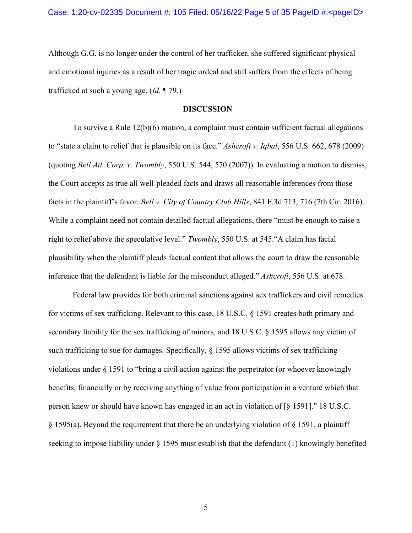Although G.G. is no longer under the control of her trafficker, she suffered significant physical and emotional injuries as a result of her tragic ordeal and still suffers from the effects of being trafficked at such a young age. (*Id.* ¶ 79.)

## **DISCUSSION**

To survive a Rule 12(b)(6) motion, a complaint must contain sufficient factual allegations to "state a claim to relief that is plausible on its face." *Ashcroft v. Iqbal*, 556 U.S. 662, 678 (2009) (quoting *Bell Atl. Corp. v. Twombly*, 550 U.S. 544, 570 (2007)). In evaluating a motion to dismiss, the Court accepts as true all well-pleaded facts and draws all reasonable inferences from those facts in the plaintiff's favor. *Bell v. City of Country Club Hills*, 841 F.3d 713, 716 (7th Cir. 2016). While a complaint need not contain detailed factual allegations, there "must be enough to raise a right to relief above the speculative level." *Twombly*, 550 U.S. at 545."A claim has facial plausibility when the plaintiff pleads factual content that allows the court to draw the reasonable inference that the defendant is liable for the misconduct alleged." *Ashcroft*, 556 U.S. at 678.

Federal law provides for both criminal sanctions against sex traffickers and civil remedies for victims of sex trafficking. Relevant to this case, 18 U.S.C. § 1591 creates both primary and secondary liability for the sex trafficking of minors, and 18 U.S.C. § 1595 allows any victim of such trafficking to sue for damages. Specifically, § 1595 allows victims of sex trafficking violations under § 1591 to "bring a civil action against the perpetrator (or whoever knowingly benefits, financially or by receiving anything of value from participation in a venture which that person knew or should have known has engaged in an act in violation of [§ 1591]." 18 U.S.C. § 1595(a). Beyond the requirement that there be an underlying violation of § 1591, a plaintiff seeking to impose liability under § 1595 must establish that the defendant (1) knowingly benefited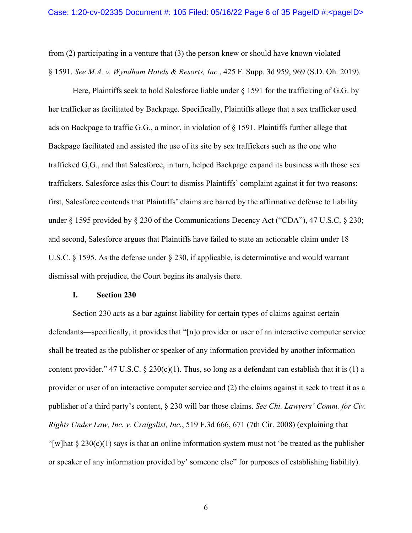from (2) participating in a venture that (3) the person knew or should have known violated § 1591. *See M.A. v. Wyndham Hotels & Resorts, Inc.*, 425 F. Supp. 3d 959, 969 (S.D. Oh. 2019).

Here, Plaintiffs seek to hold Salesforce liable under § 1591 for the trafficking of G.G. by her trafficker as facilitated by Backpage. Specifically, Plaintiffs allege that a sex trafficker used ads on Backpage to traffic G.G., a minor, in violation of § 1591. Plaintiffs further allege that Backpage facilitated and assisted the use of its site by sex traffickers such as the one who trafficked G,G., and that Salesforce, in turn, helped Backpage expand its business with those sex traffickers. Salesforce asks this Court to dismiss Plaintiffs' complaint against it for two reasons: first, Salesforce contends that Plaintiffs' claims are barred by the affirmative defense to liability under § 1595 provided by § 230 of the Communications Decency Act ("CDA"), 47 U.S.C. § 230; and second, Salesforce argues that Plaintiffs have failed to state an actionable claim under 18 U.S.C. § 1595. As the defense under § 230, if applicable, is determinative and would warrant dismissal with prejudice, the Court begins its analysis there.

#### **I. Section 230**

Section 230 acts as a bar against liability for certain types of claims against certain defendants—specifically, it provides that "[n]o provider or user of an interactive computer service shall be treated as the publisher or speaker of any information provided by another information content provider." 47 U.S.C. § 230(c)(1). Thus, so long as a defendant can establish that it is (1) a provider or user of an interactive computer service and (2) the claims against it seek to treat it as a publisher of a third party's content, § 230 will bar those claims. *See Chi. Lawyers' Comm. for Civ. Rights Under Law, Inc. v. Craigslist, Inc.*, 519 F.3d 666, 671 (7th Cir. 2008) (explaining that "[w]hat  $\S 230(c)(1)$  says is that an online information system must not 'be treated as the publisher or speaker of any information provided by' someone else" for purposes of establishing liability).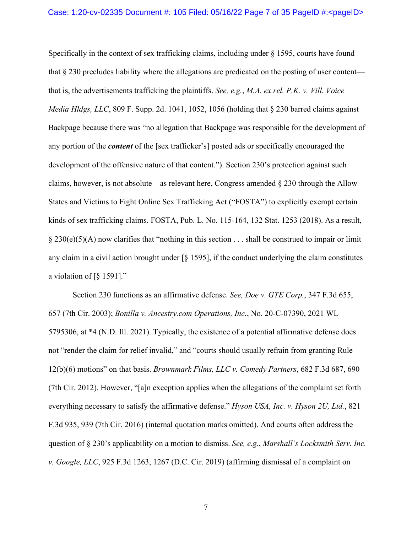Specifically in the context of sex trafficking claims, including under § 1595, courts have found that § 230 precludes liability where the allegations are predicated on the posting of user content that is, the advertisements trafficking the plaintiffs. *See, e.g.*, *M.A. ex rel. P.K. v. Vill. Voice Media Hldgs, LLC*, 809 F. Supp. 2d. 1041, 1052, 1056 (holding that § 230 barred claims against Backpage because there was "no allegation that Backpage was responsible for the development of any portion of the *content* of the [sex trafficker's] posted ads or specifically encouraged the development of the offensive nature of that content."). Section 230's protection against such claims, however, is not absolute—as relevant here, Congress amended § 230 through the Allow States and Victims to Fight Online Sex Trafficking Act ("FOSTA") to explicitly exempt certain kinds of sex trafficking claims. FOSTA, Pub. L. No. 115-164, 132 Stat. 1253 (2018). As a result,  $\S 230(e)(5)(A)$  now clarifies that "nothing in this section . . . shall be construed to impair or limit any claim in a civil action brought under  $\lceil \xi \rceil$  1595], if the conduct underlying the claim constitutes a violation of [§ 1591]."

Section 230 functions as an affirmative defense. *See, Doe v. GTE Corp.*, 347 F.3d 655, 657 (7th Cir. 2003); *Bonilla v. Ancestry.com Operations, Inc.*, No. 20-C-07390, 2021 WL 5795306, at \*4 (N.D. Ill. 2021). Typically, the existence of a potential affirmative defense does not "render the claim for relief invalid," and "courts should usually refrain from granting Rule 12(b)(6) motions" on that basis. *Brownmark Films, LLC v. Comedy Partners*, 682 F.3d 687, 690 (7th Cir. 2012). However, "[a]n exception applies when the allegations of the complaint set forth everything necessary to satisfy the affirmative defense." *Hyson USA, Inc. v. Hyson 2U, Ltd.*, 821 F.3d 935, 939 (7th Cir. 2016) (internal quotation marks omitted). And courts often address the question of § 230's applicability on a motion to dismiss. *See, e.g.*, *Marshall's Locksmith Serv. Inc. v. Google, LLC*, 925 F.3d 1263, 1267 (D.C. Cir. 2019) (affirming dismissal of a complaint on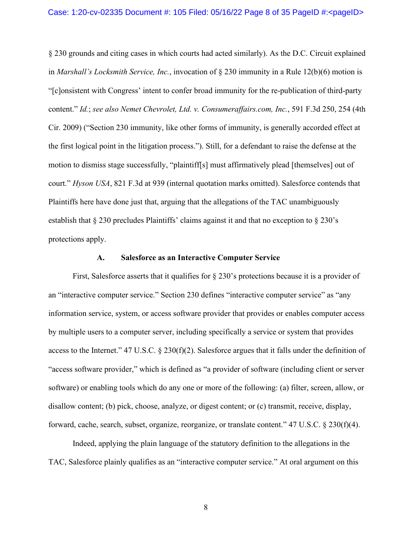§ 230 grounds and citing cases in which courts had acted similarly). As the D.C. Circuit explained in *Marshall's Locksmith Service, Inc.*, invocation of § 230 immunity in a Rule 12(b)(6) motion is "[c]onsistent with Congress' intent to confer broad immunity for the re-publication of third-party content." *Id.*; *see also Nemet Chevrolet, Ltd. v. Consumeraffairs.com, Inc.*, 591 F.3d 250, 254 (4th Cir. 2009) ("Section 230 immunity, like other forms of immunity, is generally accorded effect at the first logical point in the litigation process."). Still, for a defendant to raise the defense at the motion to dismiss stage successfully, "plaintiff[s] must affirmatively plead [themselves] out of court." *Hyson USA*, 821 F.3d at 939 (internal quotation marks omitted). Salesforce contends that Plaintiffs here have done just that, arguing that the allegations of the TAC unambiguously establish that  $\S 230$  precludes Plaintiffs' claims against it and that no exception to  $\S 230$ 's protections apply.

### **A. Salesforce as an Interactive Computer Service**

First, Salesforce asserts that it qualifies for § 230's protections because it is a provider of an "interactive computer service." Section 230 defines "interactive computer service" as "any information service, system, or access software provider that provides or enables computer access by multiple users to a computer server, including specifically a service or system that provides access to the Internet." 47 U.S.C.  $\S 230(f)(2)$ . Salesforce argues that it falls under the definition of "access software provider," which is defined as "a provider of software (including client or server software) or enabling tools which do any one or more of the following: (a) filter, screen, allow, or disallow content; (b) pick, choose, analyze, or digest content; or (c) transmit, receive, display, forward, cache, search, subset, organize, reorganize, or translate content." 47 U.S.C. § 230(f)(4).

Indeed, applying the plain language of the statutory definition to the allegations in the TAC, Salesforce plainly qualifies as an "interactive computer service." At oral argument on this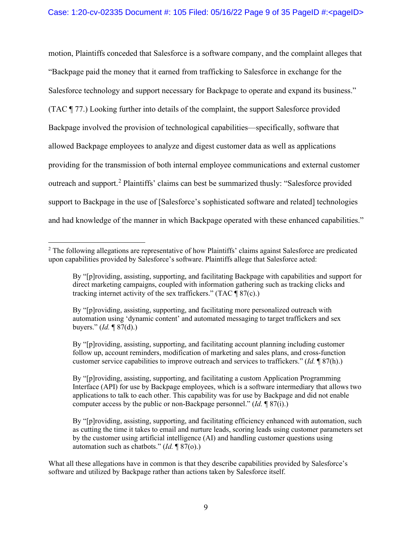motion, Plaintiffs conceded that Salesforce is a software company, and the complaint alleges that "Backpage paid the money that it earned from trafficking to Salesforce in exchange for the Salesforce technology and support necessary for Backpage to operate and expand its business." (TAC ¶ 77.) Looking further into details of the complaint, the support Salesforce provided Backpage involved the provision of technological capabilities—specifically, software that allowed Backpage employees to analyze and digest customer data as well as applications providing for the transmission of both internal employee communications and external customer outreach and support.<sup>[2](#page-8-0)</sup> Plaintiffs' claims can best be summarized thusly: "Salesforce provided support to Backpage in the use of [Salesforce's sophisticated software and related] technologies and had knowledge of the manner in which Backpage operated with these enhanced capabilities."

<span id="page-8-0"></span><sup>&</sup>lt;sup>2</sup> The following allegations are representative of how Plaintiffs' claims against Salesforce are predicated upon capabilities provided by Salesforce's software. Plaintiffs allege that Salesforce acted:

By "[p]roviding, assisting, supporting, and facilitating Backpage with capabilities and support for direct marketing campaigns, coupled with information gathering such as tracking clicks and tracking internet activity of the sex traffickers." (TAC  $\sqrt{\frac{87(c)}}$ .)

By "[p]roviding, assisting, supporting, and facilitating more personalized outreach with automation using 'dynamic content' and automated messaging to target traffickers and sex buyers." (*Id.* ¶ 87(d).)

By "[p]roviding, assisting, supporting, and facilitating account planning including customer follow up, account reminders, modification of marketing and sales plans, and cross-function customer service capabilities to improve outreach and services to traffickers." (*Id.* ¶ 87(h).)

By "[p]roviding, assisting, supporting, and facilitating a custom Application Programming Interface (API) for use by Backpage employees, which is a software intermediary that allows two applications to talk to each other. This capability was for use by Backpage and did not enable computer access by the public or non-Backpage personnel." (*Id.* ¶ 87(i).)

By "[p]roviding, assisting, supporting, and facilitating efficiency enhanced with automation, such as cutting the time it takes to email and nurture leads, scoring leads using customer parameters set by the customer using artificial intelligence (AI) and handling customer questions using automation such as chatbots." (*Id.* ¶ 87(o).)

What all these allegations have in common is that they describe capabilities provided by Salesforce's software and utilized by Backpage rather than actions taken by Salesforce itself.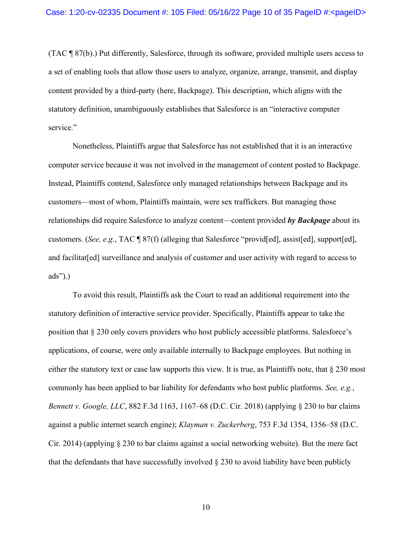(TAC ¶ 87(b).) Put differently, Salesforce, through its software, provided multiple users access to a set of enabling tools that allow those users to analyze, organize, arrange, transmit, and display content provided by a third-party (here, Backpage). This description, which aligns with the statutory definition, unambiguously establishes that Salesforce is an "interactive computer service."

Nonetheless, Plaintiffs argue that Salesforce has not established that it is an interactive computer service because it was not involved in the management of content posted to Backpage. Instead, Plaintiffs contend, Salesforce only managed relationships between Backpage and its customers—most of whom, Plaintiffs maintain, were sex traffickers. But managing those relationships did require Salesforce to analyze content—content provided *by Backpage* about its customers. (*See, e.g.*, TAC ¶ 87(f) (alleging that Salesforce "provid[ed], assist[ed], support[ed], and facilitat[ed] surveillance and analysis of customer and user activity with regard to access to ads").)

To avoid this result, Plaintiffs ask the Court to read an additional requirement into the statutory definition of interactive service provider. Specifically, Plaintiffs appear to take the position that § 230 only covers providers who host publicly accessible platforms. Salesforce's applications, of course, were only available internally to Backpage employees. But nothing in either the statutory text or case law supports this view. It is true, as Plaintiffs note, that § 230 most commonly has been applied to bar liability for defendants who host public platforms. *See, e.g.*, *Bennett v. Google, LLC*, 882 F.3d 1163, 1167–68 (D.C. Cir. 2018) (applying § 230 to bar claims against a public internet search engine); *Klayman v. Zuckerberg*, 753 F.3d 1354, 1356–58 (D.C. Cir. 2014) (applying § 230 to bar claims against a social networking website). But the mere fact that the defendants that have successfully involved § 230 to avoid liability have been publicly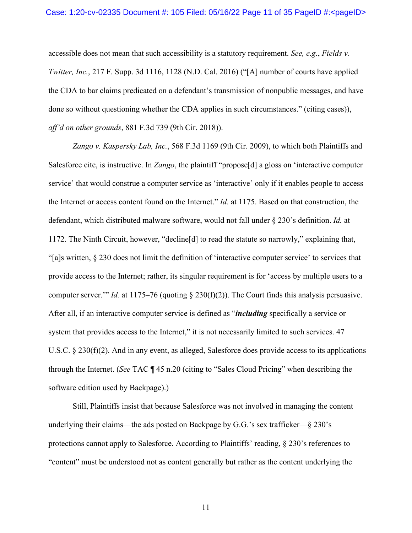accessible does not mean that such accessibility is a statutory requirement. *See, e.g.*, *Fields v. Twitter, Inc.*, 217 F. Supp. 3d 1116, 1128 (N.D. Cal. 2016) ("[A] number of courts have applied the CDA to bar claims predicated on a defendant's transmission of nonpublic messages, and have done so without questioning whether the CDA applies in such circumstances." (citing cases)), *aff'd on other grounds*, 881 F.3d 739 (9th Cir. 2018)).

*Zango v. Kaspersky Lab, Inc.*, 568 F.3d 1169 (9th Cir. 2009), to which both Plaintiffs and Salesforce cite, is instructive. In *Zango*, the plaintiff "propose[d] a gloss on 'interactive computer service' that would construe a computer service as 'interactive' only if it enables people to access the Internet or access content found on the Internet." *Id.* at 1175. Based on that construction, the defendant, which distributed malware software, would not fall under § 230's definition. *Id.* at 1172. The Ninth Circuit, however, "decline[d] to read the statute so narrowly," explaining that, "[a]s written, § 230 does not limit the definition of 'interactive computer service' to services that provide access to the Internet; rather, its singular requirement is for 'access by multiple users to a computer server.'" *Id.* at 1175–76 (quoting § 230(f)(2)). The Court finds this analysis persuasive. After all, if an interactive computer service is defined as "*including* specifically a service or system that provides access to the Internet," it is not necessarily limited to such services. 47 U.S.C. § 230(f)(2). And in any event, as alleged, Salesforce does provide access to its applications through the Internet. (*See* TAC ¶ 45 n.20 (citing to "Sales Cloud Pricing" when describing the software edition used by Backpage).)

Still, Plaintiffs insist that because Salesforce was not involved in managing the content underlying their claims—the ads posted on Backpage by G.G.'s sex trafficker—§ 230's protections cannot apply to Salesforce. According to Plaintiffs' reading, § 230's references to "content" must be understood not as content generally but rather as the content underlying the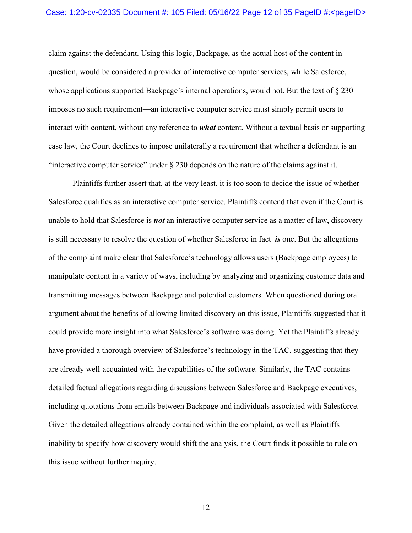claim against the defendant. Using this logic, Backpage, as the actual host of the content in question, would be considered a provider of interactive computer services, while Salesforce, whose applications supported Backpage's internal operations, would not. But the text of  $\S 230$ imposes no such requirement—an interactive computer service must simply permit users to interact with content, without any reference to *what* content. Without a textual basis or supporting case law, the Court declines to impose unilaterally a requirement that whether a defendant is an "interactive computer service" under  $\S 230$  depends on the nature of the claims against it.

Plaintiffs further assert that, at the very least, it is too soon to decide the issue of whether Salesforce qualifies as an interactive computer service. Plaintiffs contend that even if the Court is unable to hold that Salesforce is *not* an interactive computer service as a matter of law, discovery is still necessary to resolve the question of whether Salesforce in fact *is* one. But the allegations of the complaint make clear that Salesforce's technology allows users (Backpage employees) to manipulate content in a variety of ways, including by analyzing and organizing customer data and transmitting messages between Backpage and potential customers. When questioned during oral argument about the benefits of allowing limited discovery on this issue, Plaintiffs suggested that it could provide more insight into what Salesforce's software was doing. Yet the Plaintiffs already have provided a thorough overview of Salesforce's technology in the TAC, suggesting that they are already well-acquainted with the capabilities of the software. Similarly, the TAC contains detailed factual allegations regarding discussions between Salesforce and Backpage executives, including quotations from emails between Backpage and individuals associated with Salesforce. Given the detailed allegations already contained within the complaint, as well as Plaintiffs inability to specify how discovery would shift the analysis, the Court finds it possible to rule on this issue without further inquiry.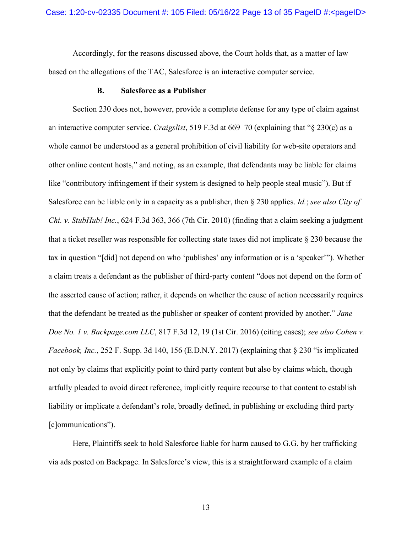Accordingly, for the reasons discussed above, the Court holds that, as a matter of law based on the allegations of the TAC, Salesforce is an interactive computer service.

## **B. Salesforce as a Publisher**

Section 230 does not, however, provide a complete defense for any type of claim against an interactive computer service. *Craigslist*, 519 F.3d at 669–70 (explaining that "§ 230(c) as a whole cannot be understood as a general prohibition of civil liability for web-site operators and other online content hosts," and noting, as an example, that defendants may be liable for claims like "contributory infringement if their system is designed to help people steal music"). But if Salesforce can be liable only in a capacity as a publisher, then § 230 applies. *Id.*; *see also City of Chi. v. StubHub! Inc.*, 624 F.3d 363, 366 (7th Cir. 2010) (finding that a claim seeking a judgment that a ticket reseller was responsible for collecting state taxes did not implicate § 230 because the tax in question "[did] not depend on who 'publishes' any information or is a 'speaker'")*.* Whether a claim treats a defendant as the publisher of third-party content "does not depend on the form of the asserted cause of action; rather, it depends on whether the cause of action necessarily requires that the defendant be treated as the publisher or speaker of content provided by another." *Jane Doe No. 1 v. Backpage.com LLC*, 817 F.3d 12, 19 (1st Cir. 2016) (citing cases); *see also Cohen v. Facebook, Inc.*, 252 F. Supp. 3d 140, 156 (E.D.N.Y. 2017) (explaining that § 230 "is implicated not only by claims that explicitly point to third party content but also by claims which, though artfully pleaded to avoid direct reference, implicitly require recourse to that content to establish liability or implicate a defendant's role, broadly defined, in publishing or excluding third party [c]ommunications").

Here, Plaintiffs seek to hold Salesforce liable for harm caused to G.G. by her trafficking via ads posted on Backpage. In Salesforce's view, this is a straightforward example of a claim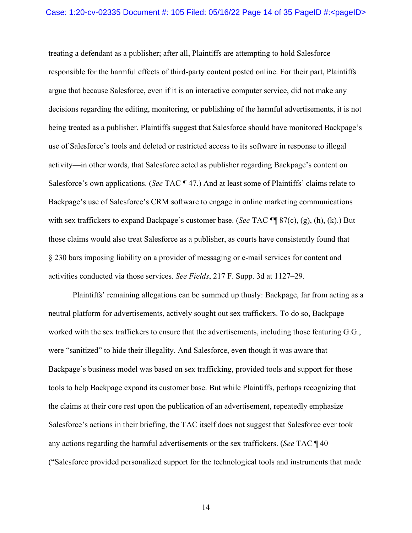treating a defendant as a publisher; after all, Plaintiffs are attempting to hold Salesforce responsible for the harmful effects of third-party content posted online. For their part, Plaintiffs argue that because Salesforce, even if it is an interactive computer service, did not make any decisions regarding the editing, monitoring, or publishing of the harmful advertisements, it is not being treated as a publisher. Plaintiffs suggest that Salesforce should have monitored Backpage's use of Salesforce's tools and deleted or restricted access to its software in response to illegal activity—in other words, that Salesforce acted as publisher regarding Backpage's content on Salesforce's own applications. (*See* TAC ¶ 47.) And at least some of Plaintiffs' claims relate to Backpage's use of Salesforce's CRM software to engage in online marketing communications with sex traffickers to expand Backpage's customer base. (*See* TAC ¶¶ 87(c), (g), (h), (k).) But those claims would also treat Salesforce as a publisher, as courts have consistently found that § 230 bars imposing liability on a provider of messaging or e-mail services for content and activities conducted via those services. *See Fields*, 217 F. Supp. 3d at 1127–29.

Plaintiffs' remaining allegations can be summed up thusly: Backpage, far from acting as a neutral platform for advertisements, actively sought out sex traffickers. To do so, Backpage worked with the sex traffickers to ensure that the advertisements, including those featuring G.G., were "sanitized" to hide their illegality. And Salesforce, even though it was aware that Backpage's business model was based on sex trafficking, provided tools and support for those tools to help Backpage expand its customer base. But while Plaintiffs, perhaps recognizing that the claims at their core rest upon the publication of an advertisement, repeatedly emphasize Salesforce's actions in their briefing, the TAC itself does not suggest that Salesforce ever took any actions regarding the harmful advertisements or the sex traffickers. (*See* TAC ¶ 40 ("Salesforce provided personalized support for the technological tools and instruments that made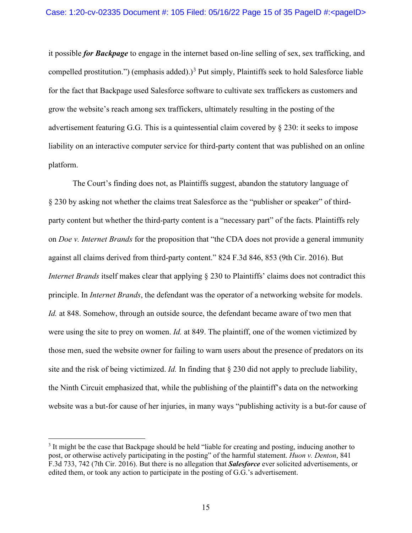it possible *for Backpage* to engage in the internet based on-line selling of sex, sex trafficking, and compelled prostitution.") (emphasis added).) [3](#page-14-0) Put simply, Plaintiffs seek to hold Salesforce liable for the fact that Backpage used Salesforce software to cultivate sex traffickers as customers and grow the website's reach among sex traffickers, ultimately resulting in the posting of the advertisement featuring G.G. This is a quintessential claim covered by § 230: it seeks to impose liability on an interactive computer service for third-party content that was published on an online platform.

The Court's finding does not, as Plaintiffs suggest, abandon the statutory language of § 230 by asking not whether the claims treat Salesforce as the "publisher or speaker" of thirdparty content but whether the third-party content is a "necessary part" of the facts. Plaintiffs rely on *Doe v. Internet Brands* for the proposition that "the CDA does not provide a general immunity against all claims derived from third-party content." 824 F.3d 846, 853 (9th Cir. 2016). But *Internet Brands* itself makes clear that applying § 230 to Plaintiffs' claims does not contradict this principle. In *Internet Brands*, the defendant was the operator of a networking website for models. *Id.* at 848. Somehow, through an outside source, the defendant became aware of two men that were using the site to prey on women. *Id.* at 849. The plaintiff, one of the women victimized by those men, sued the website owner for failing to warn users about the presence of predators on its site and the risk of being victimized. *Id.* In finding that § 230 did not apply to preclude liability, the Ninth Circuit emphasized that, while the publishing of the plaintiff's data on the networking website was a but-for cause of her injuries, in many ways "publishing activity is a but-for cause of

<span id="page-14-0"></span><sup>&</sup>lt;sup>3</sup> It might be the case that Backpage should be held "liable for creating and posting, inducing another to post, or otherwise actively participating in the posting" of the harmful statement. *Huon v. Denton*, 841 F.3d 733, 742 (7th Cir. 2016). But there is no allegation that *Salesforce* ever solicited advertisements, or edited them, or took any action to participate in the posting of G.G.'s advertisement.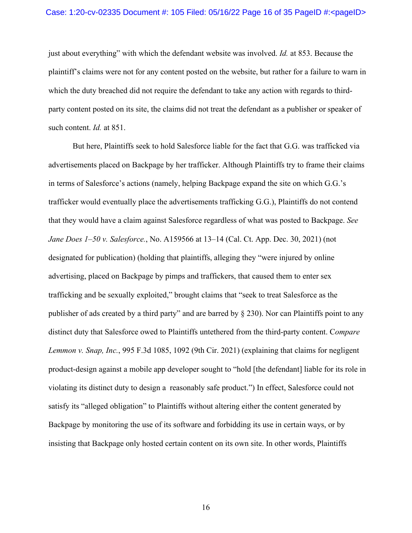### Case: 1:20-cv-02335 Document #: 105 Filed: 05/16/22 Page 16 of 35 PageID #:<pageID>

just about everything" with which the defendant website was involved. *Id.* at 853. Because the plaintiff's claims were not for any content posted on the website, but rather for a failure to warn in which the duty breached did not require the defendant to take any action with regards to thirdparty content posted on its site, the claims did not treat the defendant as a publisher or speaker of such content. *Id.* at 851.

But here, Plaintiffs seek to hold Salesforce liable for the fact that G.G. was trafficked via advertisements placed on Backpage by her trafficker. Although Plaintiffs try to frame their claims in terms of Salesforce's actions (namely, helping Backpage expand the site on which G.G.'s trafficker would eventually place the advertisements trafficking G.G.), Plaintiffs do not contend that they would have a claim against Salesforce regardless of what was posted to Backpage. *See Jane Does 1–50 v. Salesforce.*, No. A159566 at 13–14 (Cal. Ct. App. Dec. 30, 2021) (not designated for publication) (holding that plaintiffs, alleging they "were injured by online advertising, placed on Backpage by pimps and traffickers, that caused them to enter sex trafficking and be sexually exploited," brought claims that "seek to treat Salesforce as the publisher of ads created by a third party" and are barred by § 230). Nor can Plaintiffs point to any distinct duty that Salesforce owed to Plaintiffs untethered from the third-party content. C*ompare Lemmon v. Snap, Inc.*, 995 F.3d 1085, 1092 (9th Cir. 2021) (explaining that claims for negligent product-design against a mobile app developer sought to "hold [the defendant] liable for its role in violating its distinct duty to design a reasonably safe product.") In effect, Salesforce could not satisfy its "alleged obligation" to Plaintiffs without altering either the content generated by Backpage by monitoring the use of its software and forbidding its use in certain ways, or by insisting that Backpage only hosted certain content on its own site. In other words, Plaintiffs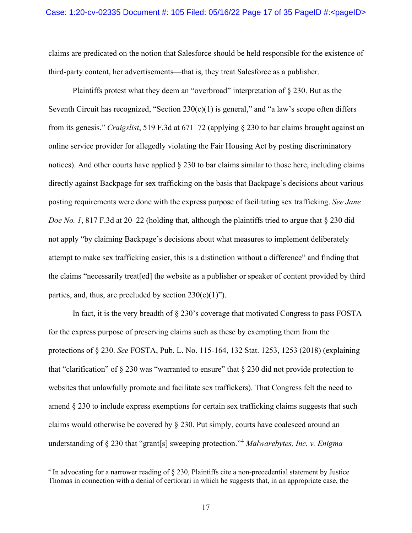claims are predicated on the notion that Salesforce should be held responsible for the existence of third-party content, her advertisements—that is, they treat Salesforce as a publisher.

Plaintiffs protest what they deem an "overbroad" interpretation of § 230. But as the Seventh Circuit has recognized, "Section  $230(c)(1)$  is general," and "a law's scope often differs from its genesis." *Craigslist*, 519 F.3d at 671–72 (applying § 230 to bar claims brought against an online service provider for allegedly violating the Fair Housing Act by posting discriminatory notices). And other courts have applied  $\S 230$  to bar claims similar to those here, including claims directly against Backpage for sex trafficking on the basis that Backpage's decisions about various posting requirements were done with the express purpose of facilitating sex trafficking. *See Jane Doe No. 1*, 817 F.3d at 20–22 (holding that, although the plaintiffs tried to argue that § 230 did not apply "by claiming Backpage's decisions about what measures to implement deliberately attempt to make sex trafficking easier, this is a distinction without a difference" and finding that the claims "necessarily treat[ed] the website as a publisher or speaker of content provided by third parties, and, thus, are precluded by section  $230(c)(1)$ ").

In fact, it is the very breadth of  $\S 230$ 's coverage that motivated Congress to pass FOSTA for the express purpose of preserving claims such as these by exempting them from the protections of § 230. *See* FOSTA, Pub. L. No. 115-164, 132 Stat. 1253, 1253 (2018) (explaining that "clarification" of  $\S 230$  was "warranted to ensure" that  $\S 230$  did not provide protection to websites that unlawfully promote and facilitate sex traffickers). That Congress felt the need to amend § 230 to include express exemptions for certain sex trafficking claims suggests that such claims would otherwise be covered by § 230. Put simply, courts have coalesced around an understanding of § 230 that "grant[s] sweeping protection."[4](#page-16-0) *Malwarebytes, Inc. v. Enigma* 

<span id="page-16-0"></span><sup>&</sup>lt;sup>4</sup> In advocating for a narrower reading of § 230, Plaintiffs cite a non-precedential statement by Justice Thomas in connection with a denial of certiorari in which he suggests that, in an appropriate case, the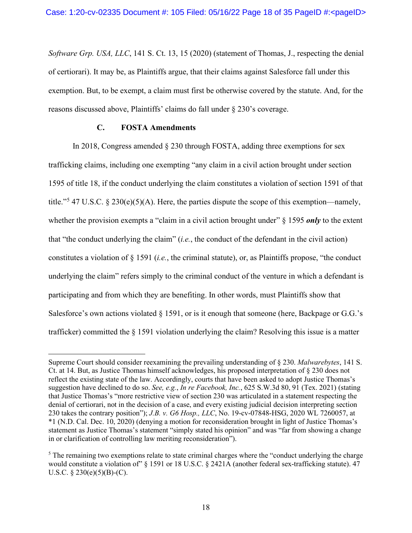*Software Grp. USA, LLC*, 141 S. Ct. 13, 15 (2020) (statement of Thomas, J., respecting the denial of certiorari). It may be, as Plaintiffs argue, that their claims against Salesforce fall under this exemption. But, to be exempt, a claim must first be otherwise covered by the statute. And, for the reasons discussed above, Plaintiffs' claims do fall under § 230's coverage.

# **C. FOSTA Amendments**

In 2018, Congress amended § 230 through FOSTA, adding three exemptions for sex trafficking claims, including one exempting "any claim in a civil action brought under section 1595 of title 18, if the conduct underlying the claim constitutes a violation of section 1591 of that title."<sup>[5](#page-17-0)</sup> 47 U.S.C. § 230(e)(5)(A). Here, the parties dispute the scope of this exemption—namely, whether the provision exempts a "claim in a civil action brought under" § 1595 *only* to the extent that "the conduct underlying the claim" (*i.e.*, the conduct of the defendant in the civil action) constitutes a violation of § 1591 (*i.e.*, the criminal statute), or, as Plaintiffs propose, "the conduct underlying the claim" refers simply to the criminal conduct of the venture in which a defendant is participating and from which they are benefiting. In other words, must Plaintiffs show that Salesforce's own actions violated  $\S$  1591, or is it enough that someone (here, Backpage or G.G.'s trafficker) committed the § 1591 violation underlying the claim? Resolving this issue is a matter

Supreme Court should consider reexamining the prevailing understanding of § 230. *Malwarebytes*, 141 S. Ct. at 14. But, as Justice Thomas himself acknowledges, his proposed interpretation of § 230 does not reflect the existing state of the law. Accordingly, courts that have been asked to adopt Justice Thomas's suggestion have declined to do so. *See, e.g.*, *In re Facebook, Inc.*, 625 S.W.3d 80, 91 (Tex. 2021) (stating that Justice Thomas's "more restrictive view of section 230 was articulated in a statement respecting the denial of certiorari, not in the decision of a case, and every existing judicial decision interpreting section 230 takes the contrary position"); *J.B. v. G6 Hosp., LLC*, No. 19-cv-07848-HSG, 2020 WL 7260057, at \*1 (N.D. Cal. Dec. 10, 2020) (denying a motion for reconsideration brought in light of Justice Thomas's statement as Justice Thomas's statement "simply stated his opinion" and was "far from showing a change in or clarification of controlling law meriting reconsideration").

<span id="page-17-0"></span><sup>&</sup>lt;sup>5</sup> The remaining two exemptions relate to state criminal charges where the "conduct underlying the charge" would constitute a violation of"  $\S$  1591 or 18 U.S.C.  $\S$  2421A (another federal sex-trafficking statute). 47 U.S.C.  $\S$  230(e)(5)(B)-(C).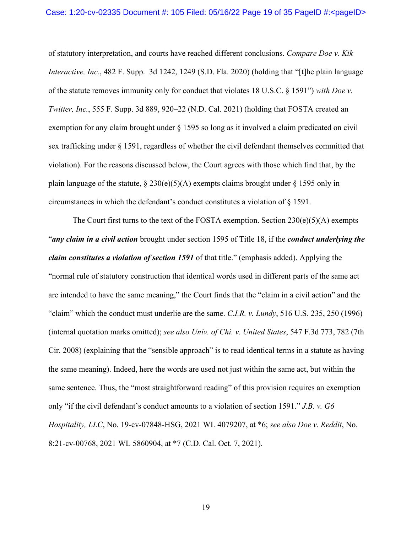of statutory interpretation, and courts have reached different conclusions. *Compare Doe v. Kik Interactive, Inc.*, 482 F. Supp. 3d 1242, 1249 (S.D. Fla. 2020) (holding that "[t]he plain language of the statute removes immunity only for conduct that violates 18 U.S.C. § 1591") *with Doe v. Twitter, Inc.*, 555 F. Supp. 3d 889, 920–22 (N.D. Cal. 2021) (holding that FOSTA created an exemption for any claim brought under § 1595 so long as it involved a claim predicated on civil sex trafficking under § 1591, regardless of whether the civil defendant themselves committed that violation). For the reasons discussed below, the Court agrees with those which find that, by the plain language of the statute,  $\S 230(e)(5)(A)$  exempts claims brought under  $\S 1595$  only in circumstances in which the defendant's conduct constitutes a violation of § 1591.

The Court first turns to the text of the FOSTA exemption. Section  $230(e)(5)(A)$  exempts "*any claim in a civil action* brought under section 1595 of Title 18, if the *conduct underlying the claim constitutes a violation of section 1591* of that title." (emphasis added). Applying the "normal rule of statutory construction that identical words used in different parts of the same act are intended to have the same meaning," the Court finds that the "claim in a civil action" and the "claim" which the conduct must underlie are the same. *C.I.R. v. Lundy*, 516 U.S. 235, 250 (1996) (internal quotation marks omitted); *see also Univ. of Chi. v. United States*, 547 F.3d 773, 782 (7th Cir. 2008) (explaining that the "sensible approach" is to read identical terms in a statute as having the same meaning). Indeed, here the words are used not just within the same act, but within the same sentence. Thus, the "most straightforward reading" of this provision requires an exemption only "if the civil defendant's conduct amounts to a violation of section 1591." *J.B. v. G6 Hospitality, LLC*, No. 19-cv-07848-HSG, 2021 WL 4079207, at \*6; *see also Doe v. Reddit*, No. 8:21-cv-00768, 2021 WL 5860904, at \*7 (C.D. Cal. Oct. 7, 2021).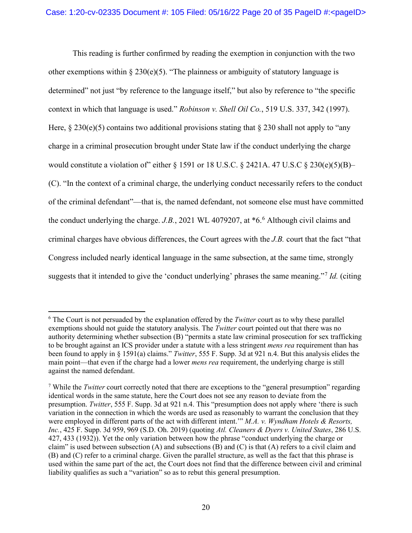This reading is further confirmed by reading the exemption in conjunction with the two other exemptions within  $\S 230(e)(5)$ . "The plainness or ambiguity of statutory language is determined" not just "by reference to the language itself," but also by reference to "the specific context in which that language is used." *Robinson v. Shell Oil Co.*, 519 U.S. 337, 342 (1997). Here,  $\S 230(e)(5)$  contains two additional provisions stating that  $\S 230$  shall not apply to "any charge in a criminal prosecution brought under State law if the conduct underlying the charge would constitute a violation of" either  $\S 1591$  or 18 U.S.C.  $\S 2421A$ . 47 U.S.C  $\S 230(e)(5)(B)$ – (C). "In the context of a criminal charge, the underlying conduct necessarily refers to the conduct of the criminal defendant"—that is, the named defendant, not someone else must have committed the conduct underlying the charge. *J.B.*, 2021 WL 4079207, at \*6. [6](#page-19-0) Although civil claims and criminal charges have obvious differences, the Court agrees with the *J.B.* court that the fact "that Congress included nearly identical language in the same subsection, at the same time, strongly suggests that it intended to give the 'conduct underlying' phrases the same meaning."[7](#page-19-1) *Id.* (citing

<span id="page-19-0"></span><sup>6</sup> The Court is not persuaded by the explanation offered by the *Twitter* court as to why these parallel exemptions should not guide the statutory analysis. The *Twitter* court pointed out that there was no authority determining whether subsection (B) "permits a state law criminal prosecution for sex trafficking to be brought against an ICS provider under a statute with a less stringent *mens rea* requirement than has been found to apply in § 1591(a) claims." *Twitter*, 555 F. Supp. 3d at 921 n.4. But this analysis elides the main point—that even if the charge had a lower *mens rea* requirement, the underlying charge is still against the named defendant.

<span id="page-19-1"></span><sup>7</sup> While the *Twitter* court correctly noted that there are exceptions to the "general presumption" regarding identical words in the same statute, here the Court does not see any reason to deviate from the presumption. *Twitter*, 555 F. Supp. 3d at 921 n.4. This "presumption does not apply where 'there is such variation in the connection in which the words are used as reasonably to warrant the conclusion that they were employed in different parts of the act with different intent.'" *M.A. v. Wyndham Hotels & Resorts, Inc.*, 425 F. Supp. 3d 959, 969 (S.D. Oh. 2019) (quoting *Atl. Cleaners & Dyers v. United States*, 286 U.S. 427, 433 (1932)). Yet the only variation between how the phrase "conduct underlying the charge or claim" is used between subsection (A) and subsections (B) and (C) is that (A) refers to a civil claim and (B) and (C) refer to a criminal charge. Given the parallel structure, as well as the fact that this phrase is used within the same part of the act, the Court does not find that the difference between civil and criminal liability qualifies as such a "variation" so as to rebut this general presumption.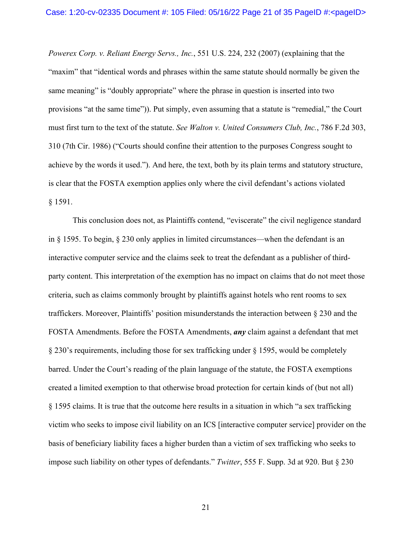*Powerex Corp. v. Reliant Energy Servs., Inc.*, 551 U.S. 224, 232 (2007) (explaining that the "maxim" that "identical words and phrases within the same statute should normally be given the same meaning" is "doubly appropriate" where the phrase in question is inserted into two provisions "at the same time")). Put simply, even assuming that a statute is "remedial," the Court must first turn to the text of the statute. *See Walton v. United Consumers Club, Inc.*, 786 F.2d 303, 310 (7th Cir. 1986) ("Courts should confine their attention to the purposes Congress sought to achieve by the words it used."). And here, the text, both by its plain terms and statutory structure, is clear that the FOSTA exemption applies only where the civil defendant's actions violated § 1591.

This conclusion does not, as Plaintiffs contend, "eviscerate" the civil negligence standard in § 1595. To begin, § 230 only applies in limited circumstances—when the defendant is an interactive computer service and the claims seek to treat the defendant as a publisher of thirdparty content. This interpretation of the exemption has no impact on claims that do not meet those criteria, such as claims commonly brought by plaintiffs against hotels who rent rooms to sex traffickers. Moreover, Plaintiffs' position misunderstands the interaction between § 230 and the FOSTA Amendments. Before the FOSTA Amendments, *any* claim against a defendant that met § 230's requirements, including those for sex trafficking under § 1595, would be completely barred. Under the Court's reading of the plain language of the statute, the FOSTA exemptions created a limited exemption to that otherwise broad protection for certain kinds of (but not all) § 1595 claims. It is true that the outcome here results in a situation in which "a sex trafficking victim who seeks to impose civil liability on an ICS [interactive computer service] provider on the basis of beneficiary liability faces a higher burden than a victim of sex trafficking who seeks to impose such liability on other types of defendants." *Twitter*, 555 F. Supp. 3d at 920. But § 230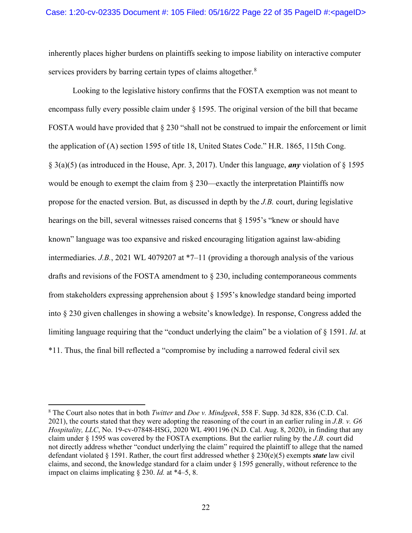inherently places higher burdens on plaintiffs seeking to impose liability on interactive computer services providers by barring certain types of claims altogether.<sup>[8](#page-21-0)</sup>

Looking to the legislative history confirms that the FOSTA exemption was not meant to encompass fully every possible claim under § 1595. The original version of the bill that became FOSTA would have provided that § 230 "shall not be construed to impair the enforcement or limit the application of (A) section 1595 of title 18, United States Code." H.R. 1865, 115th Cong. § 3(a)(5) (as introduced in the House, Apr. 3, 2017). Under this language, *any* violation of § 1595 would be enough to exempt the claim from § 230—exactly the interpretation Plaintiffs now propose for the enacted version. But, as discussed in depth by the *J.B.* court, during legislative hearings on the bill, several witnesses raised concerns that  $\S$  1595's "knew or should have known" language was too expansive and risked encouraging litigation against law-abiding intermediaries. *J.B.*, 2021 WL 4079207 at \*7–11 (providing a thorough analysis of the various drafts and revisions of the FOSTA amendment to § 230, including contemporaneous comments from stakeholders expressing apprehension about § 1595's knowledge standard being imported into § 230 given challenges in showing a website's knowledge). In response, Congress added the limiting language requiring that the "conduct underlying the claim" be a violation of § 1591. *Id*. at \*11. Thus, the final bill reflected a "compromise by including a narrowed federal civil sex

<span id="page-21-0"></span><sup>8</sup> The Court also notes that in both *Twitter* and *Doe v. Mindgeek*, 558 F. Supp. 3d 828, 836 (C.D. Cal. 2021), the courts stated that they were adopting the reasoning of the court in an earlier ruling in *J.B. v. G6 Hospitality, LLC*, No. 19-cv-07848-HSG, 2020 WL 4901196 (N.D. Cal. Aug. 8, 2020), in finding that any claim under § 1595 was covered by the FOSTA exemptions. But the earlier ruling by the *J.B.* court did not directly address whether "conduct underlying the claim" required the plaintiff to allege that the named defendant violated § 1591. Rather, the court first addressed whether § 230(e)(5) exempts *state* law civil claims, and second, the knowledge standard for a claim under § 1595 generally, without reference to the impact on claims implicating § 230. *Id.* at \*4–5, 8.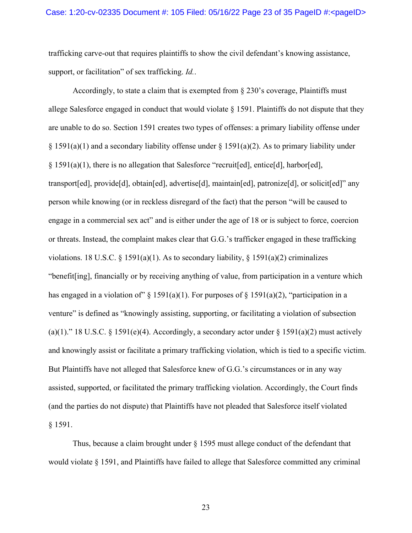trafficking carve-out that requires plaintiffs to show the civil defendant's knowing assistance, support, or facilitation" of sex trafficking. *Id.*.

Accordingly, to state a claim that is exempted from § 230's coverage, Plaintiffs must allege Salesforce engaged in conduct that would violate § 1591. Plaintiffs do not dispute that they are unable to do so. Section 1591 creates two types of offenses: a primary liability offense under  $\S 1591(a)(1)$  and a secondary liability offense under  $\S 1591(a)(2)$ . As to primary liability under § 1591(a)(1), there is no allegation that Salesforce "recruit[ed], entice[d], harbor[ed], transport[ed], provide[d], obtain[ed], advertise[d], maintain[ed], patronize[d], or solicit[ed]" any person while knowing (or in reckless disregard of the fact) that the person "will be caused to engage in a commercial sex act" and is either under the age of 18 or is subject to force, coercion or threats. Instead, the complaint makes clear that G.G.'s trafficker engaged in these trafficking violations. 18 U.S.C. § 1591(a)(1). As to secondary liability, § 1591(a)(2) criminalizes "benefit[ing], financially or by receiving anything of value, from participation in a venture which has engaged in a violation of  $\S$  1591(a)(1). For purposes of  $\S$  1591(a)(2), "participation in a venture" is defined as "knowingly assisting, supporting, or facilitating a violation of subsection (a)(1)." 18 U.S.C. § 1591(e)(4). Accordingly, a secondary actor under § 1591(a)(2) must actively and knowingly assist or facilitate a primary trafficking violation, which is tied to a specific victim. But Plaintiffs have not alleged that Salesforce knew of G.G.'s circumstances or in any way assisted, supported, or facilitated the primary trafficking violation. Accordingly, the Court finds (and the parties do not dispute) that Plaintiffs have not pleaded that Salesforce itself violated § 1591.

Thus, because a claim brought under § 1595 must allege conduct of the defendant that would violate § 1591, and Plaintiffs have failed to allege that Salesforce committed any criminal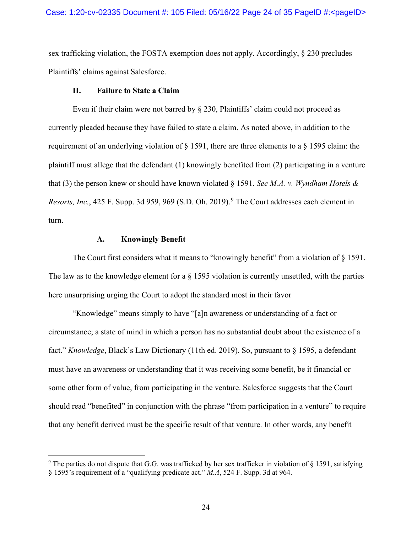sex trafficking violation, the FOSTA exemption does not apply. Accordingly, § 230 precludes Plaintiffs' claims against Salesforce.

### **II. Failure to State a Claim**

Even if their claim were not barred by § 230, Plaintiffs' claim could not proceed as currently pleaded because they have failed to state a claim. As noted above, in addition to the requirement of an underlying violation of  $\S 1591$ , there are three elements to a  $\S 1595$  claim: the plaintiff must allege that the defendant (1) knowingly benefited from (2) participating in a venture that (3) the person knew or should have known violated § 1591. *See M.A. v. Wyndham Hotels & Resorts, Inc.*, 425 F. Supp. 3d 959, 969 (S.D. Oh. 2019). [9](#page-23-0) The Court addresses each element in turn.

## **A. Knowingly Benefit**

The Court first considers what it means to "knowingly benefit" from a violation of  $\S$  1591. The law as to the knowledge element for a § 1595 violation is currently unsettled, with the parties here unsurprising urging the Court to adopt the standard most in their favor

"Knowledge" means simply to have "[a]n awareness or understanding of a fact or circumstance; a state of mind in which a person has no substantial doubt about the existence of a fact." *Knowledge*, Black's Law Dictionary (11th ed. 2019). So, pursuant to § 1595, a defendant must have an awareness or understanding that it was receiving some benefit, be it financial or some other form of value, from participating in the venture. Salesforce suggests that the Court should read "benefited" in conjunction with the phrase "from participation in a venture" to require that any benefit derived must be the specific result of that venture. In other words, any benefit

<span id="page-23-0"></span><sup>&</sup>lt;sup>9</sup> The parties do not dispute that G.G. was trafficked by her sex trafficker in violation of § 1591, satisfying § 1595's requirement of a "qualifying predicate act." *M.A*, 524 F. Supp. 3d at 964.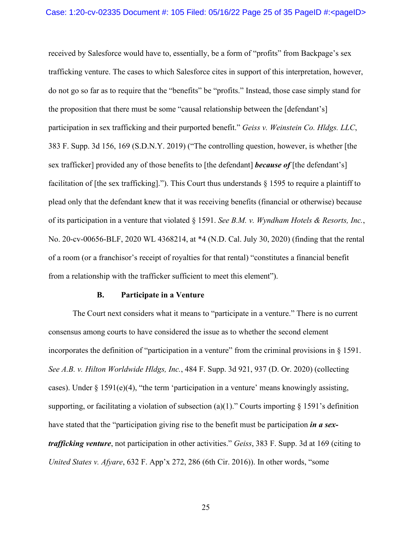received by Salesforce would have to, essentially, be a form of "profits" from Backpage's sex trafficking venture. The cases to which Salesforce cites in support of this interpretation, however, do not go so far as to require that the "benefits" be "profits." Instead, those case simply stand for the proposition that there must be some "causal relationship between the [defendant's] participation in sex trafficking and their purported benefit." *Geiss v. Weinstein Co. Hldgs. LLC*, 383 F. Supp. 3d 156, 169 (S.D.N.Y. 2019) ("The controlling question, however, is whether [the sex trafficker] provided any of those benefits to [the defendant] *because of* [the defendant's] facilitation of [the sex trafficking]."). This Court thus understands § 1595 to require a plaintiff to plead only that the defendant knew that it was receiving benefits (financial or otherwise) because of its participation in a venture that violated § 1591. *See B.M. v. Wyndham Hotels & Resorts, Inc.*, No. 20-cv-00656-BLF, 2020 WL 4368214, at \*4 (N.D. Cal. July 30, 2020) (finding that the rental of a room (or a franchisor's receipt of royalties for that rental) "constitutes a financial benefit from a relationship with the trafficker sufficient to meet this element").

#### **B. Participate in a Venture**

The Court next considers what it means to "participate in a venture." There is no current consensus among courts to have considered the issue as to whether the second element incorporates the definition of "participation in a venture" from the criminal provisions in  $\S 1591$ . *See A.B. v. Hilton Worldwide Hldgs, Inc.*, 484 F. Supp. 3d 921, 937 (D. Or. 2020) (collecting cases). Under  $\S 1591(e)(4)$ , "the term 'participation in a venture' means knowingly assisting, supporting, or facilitating a violation of subsection (a)(1)." Courts importing  $\S$  1591's definition have stated that the "participation giving rise to the benefit must be participation *in a sextrafficking venture*, not participation in other activities." *Geiss*, 383 F. Supp. 3d at 169 (citing to *United States v. Afyare*, 632 F. App'x 272, 286 (6th Cir. 2016)). In other words, "some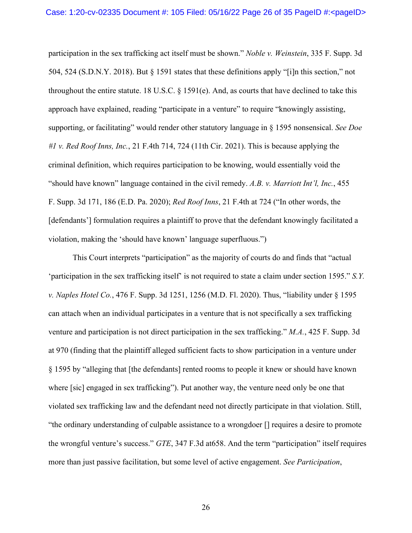participation in the sex trafficking act itself must be shown." *Noble v. Weinstein*, 335 F. Supp. 3d 504, 524 (S.D.N.Y. 2018). But § 1591 states that these definitions apply "[i]n this section," not throughout the entire statute. 18 U.S.C. § 1591(e). And, as courts that have declined to take this approach have explained, reading "participate in a venture" to require "knowingly assisting, supporting, or facilitating" would render other statutory language in § 1595 nonsensical. *See Doe #1 v. Red Roof Inns, Inc.*, 21 F.4th 714, 724 (11th Cir. 2021). This is because applying the criminal definition, which requires participation to be knowing, would essentially void the "should have known" language contained in the civil remedy. *A.B. v. Marriott Int'l, Inc.*, 455 F. Supp. 3d 171, 186 (E.D. Pa. 2020); *Red Roof Inns*, 21 F.4th at 724 ("In other words, the [defendants'] formulation requires a plaintiff to prove that the defendant knowingly facilitated a violation, making the 'should have known' language superfluous.")

This Court interprets "participation" as the majority of courts do and finds that "actual 'participation in the sex trafficking itself' is not required to state a claim under section 1595." *S.Y. v. Naples Hotel Co.*, 476 F. Supp. 3d 1251, 1256 (M.D. Fl. 2020). Thus, "liability under § 1595 can attach when an individual participates in a venture that is not specifically a sex trafficking venture and participation is not direct participation in the sex trafficking." *M.A.*, 425 F. Supp. 3d at 970 (finding that the plaintiff alleged sufficient facts to show participation in a venture under § 1595 by "alleging that [the defendants] rented rooms to people it knew or should have known where [sic] engaged in sex trafficking"). Put another way, the venture need only be one that violated sex trafficking law and the defendant need not directly participate in that violation. Still, "the ordinary understanding of culpable assistance to a wrongdoer [] requires a desire to promote the wrongful venture's success." *GTE*, 347 F.3d at658. And the term "participation" itself requires more than just passive facilitation, but some level of active engagement. *See Participation*,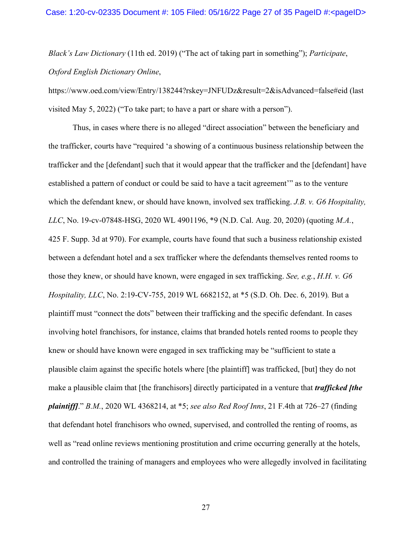*Black's Law Dictionary* (11th ed. 2019) ("The act of taking part in something"); *Participate*, *Oxford English Dictionary Online*,

https://www.oed.com/view/Entry/138244?rskey=JNFUDz&result=2&isAdvanced=false#eid (last visited May 5, 2022) ("To take part; to have a part or share with a person").

Thus, in cases where there is no alleged "direct association" between the beneficiary and the trafficker, courts have "required 'a showing of a continuous business relationship between the trafficker and the [defendant] such that it would appear that the trafficker and the [defendant] have established a pattern of conduct or could be said to have a tacit agreement'" as to the venture which the defendant knew, or should have known, involved sex trafficking. *J.B. v. G6 Hospitality, LLC*, No. 19-cv-07848-HSG, 2020 WL 4901196, \*9 (N.D. Cal. Aug. 20, 2020) (quoting *M.A.*, 425 F. Supp. 3d at 970). For example, courts have found that such a business relationship existed between a defendant hotel and a sex trafficker where the defendants themselves rented rooms to those they knew, or should have known, were engaged in sex trafficking. *See, e.g.*, *H.H. v. G6 Hospitality, LLC*, No. 2:19-CV-755, 2019 WL 6682152, at \*5 (S.D. Oh. Dec. 6, 2019)*.* But a plaintiff must "connect the dots" between their trafficking and the specific defendant. In cases involving hotel franchisors, for instance, claims that branded hotels rented rooms to people they knew or should have known were engaged in sex trafficking may be "sufficient to state a plausible claim against the specific hotels where [the plaintiff] was trafficked, [but] they do not make a plausible claim that [the franchisors] directly participated in a venture that *trafficked [the plaintiff]*." *B.M.*, 2020 WL 4368214, at \*5; *see also Red Roof Inns*, 21 F.4th at 726–27 (finding that defendant hotel franchisors who owned, supervised, and controlled the renting of rooms, as well as "read online reviews mentioning prostitution and crime occurring generally at the hotels, and controlled the training of managers and employees who were allegedly involved in facilitating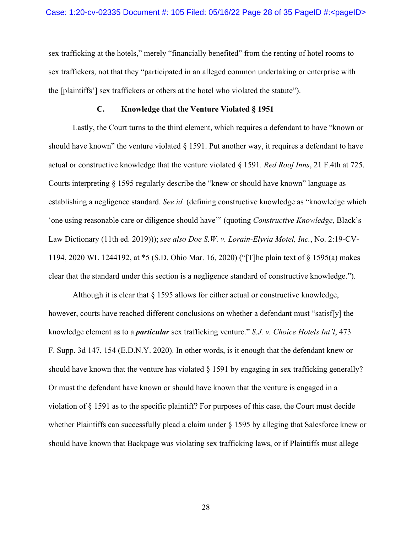sex trafficking at the hotels," merely "financially benefited" from the renting of hotel rooms to sex traffickers, not that they "participated in an alleged common undertaking or enterprise with the [plaintiffs'] sex traffickers or others at the hotel who violated the statute").

### **C. Knowledge that the Venture Violated § 1951**

Lastly, the Court turns to the third element, which requires a defendant to have "known or should have known" the venture violated  $\S 1591$ . Put another way, it requires a defendant to have actual or constructive knowledge that the venture violated § 1591. *Red Roof Inns*, 21 F.4th at 725. Courts interpreting § 1595 regularly describe the "knew or should have known" language as establishing a negligence standard. *See id.* (defining constructive knowledge as "knowledge which 'one using reasonable care or diligence should have'" (quoting *Constructive Knowledge*, Black's Law Dictionary (11th ed. 2019))); *see also Doe S.W. v. Lorain-Elyria Motel, Inc.*, No. 2:19-CV-1194, 2020 WL 1244192, at \*5 (S.D. Ohio Mar. 16, 2020) ("[T]he plain text of § 1595(a) makes clear that the standard under this section is a negligence standard of constructive knowledge.").

Although it is clear that § 1595 allows for either actual or constructive knowledge, however, courts have reached different conclusions on whether a defendant must "satisf[y] the knowledge element as to a *particular* sex trafficking venture." *S.J. v. Choice Hotels Int'l*, 473 F. Supp. 3d 147, 154 (E.D.N.Y. 2020). In other words, is it enough that the defendant knew or should have known that the venture has violated § 1591 by engaging in sex trafficking generally? Or must the defendant have known or should have known that the venture is engaged in a violation of § 1591 as to the specific plaintiff? For purposes of this case, the Court must decide whether Plaintiffs can successfully plead a claim under  $\S$  1595 by alleging that Salesforce knew or should have known that Backpage was violating sex trafficking laws, or if Plaintiffs must allege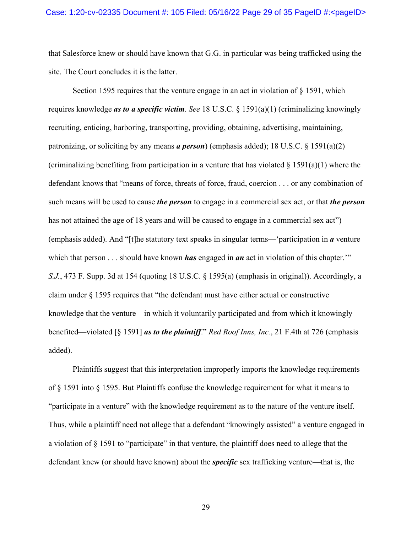that Salesforce knew or should have known that G.G. in particular was being trafficked using the site. The Court concludes it is the latter.

Section 1595 requires that the venture engage in an act in violation of § 1591, which requires knowledge *as to a specific victim*. *See* 18 U.S.C. § 1591(a)(1) (criminalizing knowingly recruiting, enticing, harboring, transporting, providing, obtaining, advertising, maintaining, patronizing, or soliciting by any means *a person*) (emphasis added); 18 U.S.C. § 1591(a)(2) (criminalizing benefiting from participation in a venture that has violated  $\S 1591(a)(1)$  where the defendant knows that "means of force, threats of force, fraud, coercion . . . or any combination of such means will be used to cause *the person* to engage in a commercial sex act, or that *the person* has not attained the age of 18 years and will be caused to engage in a commercial sex act") (emphasis added). And "[t]he statutory text speaks in singular terms—'participation in *a* venture which that person . . . should have known **has** engaged in **an** act in violation of this chapter." *S.J.*, 473 F. Supp. 3d at 154 (quoting 18 U.S.C. § 1595(a) (emphasis in original)). Accordingly, a claim under § 1595 requires that "the defendant must have either actual or constructive knowledge that the venture—in which it voluntarily participated and from which it knowingly benefited—violated [§ 1591] *as to the plaintiff*." *Red Roof Inns, Inc.*, 21 F.4th at 726 (emphasis added).

Plaintiffs suggest that this interpretation improperly imports the knowledge requirements of § 1591 into § 1595. But Plaintiffs confuse the knowledge requirement for what it means to "participate in a venture" with the knowledge requirement as to the nature of the venture itself. Thus, while a plaintiff need not allege that a defendant "knowingly assisted" a venture engaged in a violation of § 1591 to "participate" in that venture, the plaintiff does need to allege that the defendant knew (or should have known) about the *specific* sex trafficking venture—that is, the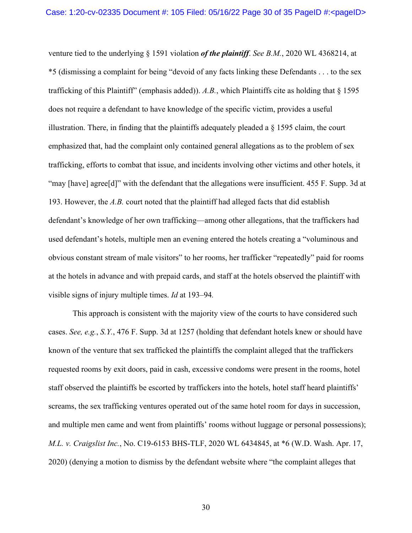venture tied to the underlying § 1591 violation *of the plaintiff*. *See B.M.*, 2020 WL 4368214, at \*5 (dismissing a complaint for being "devoid of any facts linking these Defendants . . . to the sex trafficking of this Plaintiff" (emphasis added)). *A.B.*, which Plaintiffs cite as holding that § 1595 does not require a defendant to have knowledge of the specific victim, provides a useful illustration. There, in finding that the plaintiffs adequately pleaded a  $\S$  1595 claim, the court emphasized that, had the complaint only contained general allegations as to the problem of sex trafficking, efforts to combat that issue, and incidents involving other victims and other hotels, it "may [have] agree[d]" with the defendant that the allegations were insufficient. 455 F. Supp. 3d at 193. However, the *A.B.* court noted that the plaintiff had alleged facts that did establish defendant's knowledge of her own trafficking—among other allegations, that the traffickers had used defendant's hotels, multiple men an evening entered the hotels creating a "voluminous and obvious constant stream of male visitors" to her rooms, her trafficker "repeatedly" paid for rooms at the hotels in advance and with prepaid cards, and staff at the hotels observed the plaintiff with visible signs of injury multiple times. *Id* at 193–94*.*

This approach is consistent with the majority view of the courts to have considered such cases. *See, e.g.*, *S.Y.*, 476 F. Supp. 3d at 1257 (holding that defendant hotels knew or should have known of the venture that sex trafficked the plaintiffs the complaint alleged that the traffickers requested rooms by exit doors, paid in cash, excessive condoms were present in the rooms, hotel staff observed the plaintiffs be escorted by traffickers into the hotels, hotel staff heard plaintiffs' screams, the sex trafficking ventures operated out of the same hotel room for days in succession, and multiple men came and went from plaintiffs' rooms without luggage or personal possessions); *M.L. v. Craigslist Inc.*, No. C19-6153 BHS-TLF, 2020 WL 6434845, at \*6 (W.D. Wash. Apr. 17, 2020) (denying a motion to dismiss by the defendant website where "the complaint alleges that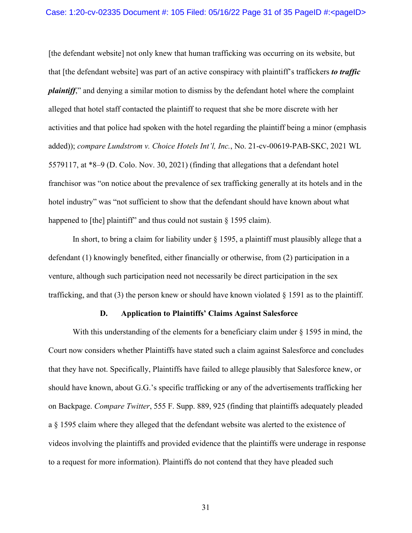[the defendant website] not only knew that human trafficking was occurring on its website, but that [the defendant website] was part of an active conspiracy with plaintiff's traffickers *to traffic plaintiff*," and denying a similar motion to dismiss by the defendant hotel where the complaint alleged that hotel staff contacted the plaintiff to request that she be more discrete with her activities and that police had spoken with the hotel regarding the plaintiff being a minor (emphasis added)); *compare Lundstrom v. Choice Hotels Int'l, Inc.*, No. 21-cv-00619-PAB-SKC, 2021 WL 5579117, at \*8–9 (D. Colo. Nov. 30, 2021) (finding that allegations that a defendant hotel franchisor was "on notice about the prevalence of sex trafficking generally at its hotels and in the hotel industry" was "not sufficient to show that the defendant should have known about what happened to [the] plaintiff" and thus could not sustain  $\S$  1595 claim).

In short, to bring a claim for liability under  $\S$  1595, a plaintiff must plausibly allege that a defendant (1) knowingly benefited, either financially or otherwise, from (2) participation in a venture, although such participation need not necessarily be direct participation in the sex trafficking, and that (3) the person knew or should have known violated § 1591 as to the plaintiff.

### **D. Application to Plaintiffs' Claims Against Salesforce**

With this understanding of the elements for a beneficiary claim under  $\S 1595$  in mind, the Court now considers whether Plaintiffs have stated such a claim against Salesforce and concludes that they have not. Specifically, Plaintiffs have failed to allege plausibly that Salesforce knew, or should have known, about G.G.'s specific trafficking or any of the advertisements trafficking her on Backpage. *Compare Twitter*, 555 F. Supp. 889, 925 (finding that plaintiffs adequately pleaded a § 1595 claim where they alleged that the defendant website was alerted to the existence of videos involving the plaintiffs and provided evidence that the plaintiffs were underage in response to a request for more information). Plaintiffs do not contend that they have pleaded such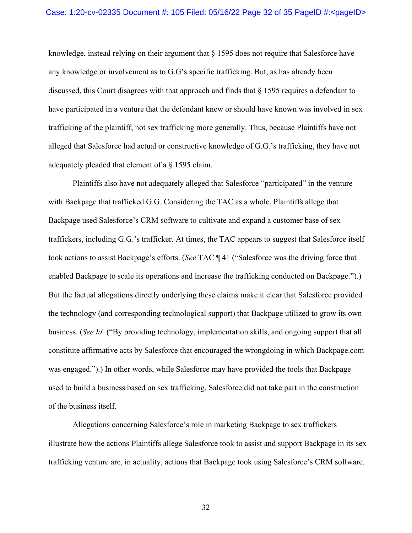### Case: 1:20-cv-02335 Document #: 105 Filed: 05/16/22 Page 32 of 35 PageID #:<pageID>

knowledge, instead relying on their argument that § 1595 does not require that Salesforce have any knowledge or involvement as to G.G's specific trafficking. But, as has already been discussed, this Court disagrees with that approach and finds that § 1595 requires a defendant to have participated in a venture that the defendant knew or should have known was involved in sex trafficking of the plaintiff, not sex trafficking more generally. Thus, because Plaintiffs have not alleged that Salesforce had actual or constructive knowledge of G.G.'s trafficking, they have not adequately pleaded that element of a § 1595 claim.

Plaintiffs also have not adequately alleged that Salesforce "participated" in the venture with Backpage that trafficked G.G. Considering the TAC as a whole, Plaintiffs allege that Backpage used Salesforce's CRM software to cultivate and expand a customer base of sex traffickers, including G.G.'s trafficker. At times, the TAC appears to suggest that Salesforce itself took actions to assist Backpage's efforts. (*See* TAC ¶ 41 ("Salesforce was the driving force that enabled Backpage to scale its operations and increase the trafficking conducted on Backpage.").) But the factual allegations directly underlying these claims make it clear that Salesforce provided the technology (and corresponding technological support) that Backpage utilized to grow its own business. (*See Id.* ("By providing technology, implementation skills, and ongoing support that all constitute affirmative acts by Salesforce that encouraged the wrongdoing in which Backpage.com was engaged.").) In other words, while Salesforce may have provided the tools that Backpage used to build a business based on sex trafficking, Salesforce did not take part in the construction of the business itself.

Allegations concerning Salesforce's role in marketing Backpage to sex traffickers illustrate how the actions Plaintiffs allege Salesforce took to assist and support Backpage in its sex trafficking venture are, in actuality, actions that Backpage took using Salesforce's CRM software.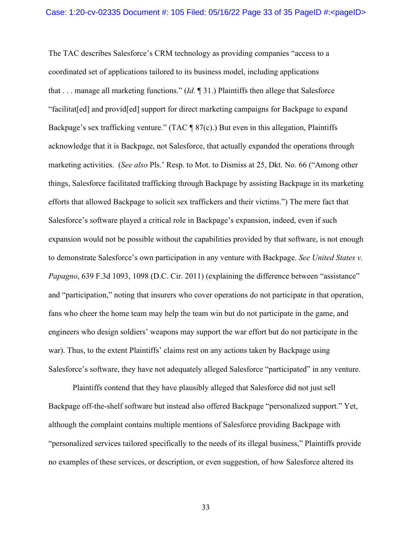The TAC describes Salesforce's CRM technology as providing companies "access to a coordinated set of applications tailored to its business model, including applications that . . . manage all marketing functions." (*Id.* ¶ 31.) Plaintiffs then allege that Salesforce "facilitat[ed] and provid[ed] support for direct marketing campaigns for Backpage to expand Backpage's sex trafficking venture." (TAC ¶ 87(c).) But even in this allegation, Plaintiffs acknowledge that it is Backpage, not Salesforce, that actually expanded the operations through marketing activities. (*See also* Pls.' Resp. to Mot. to Dismiss at 25, Dkt. No. 66 ("Among other things, Salesforce facilitated trafficking through Backpage by assisting Backpage in its marketing efforts that allowed Backpage to solicit sex traffickers and their victims.") The mere fact that Salesforce's software played a critical role in Backpage's expansion, indeed, even if such expansion would not be possible without the capabilities provided by that software, is not enough to demonstrate Salesforce's own participation in any venture with Backpage. *See United States v. Papagno*, 639 F.3d 1093, 1098 (D.C. Cir. 2011) (explaining the difference between "assistance" and "participation," noting that insurers who cover operations do not participate in that operation, fans who cheer the home team may help the team win but do not participate in the game, and engineers who design soldiers' weapons may support the war effort but do not participate in the war). Thus, to the extent Plaintiffs' claims rest on any actions taken by Backpage using Salesforce's software, they have not adequately alleged Salesforce "participated" in any venture.

Plaintiffs contend that they have plausibly alleged that Salesforce did not just sell Backpage off-the-shelf software but instead also offered Backpage "personalized support." Yet, although the complaint contains multiple mentions of Salesforce providing Backpage with "personalized services tailored specifically to the needs of its illegal business," Plaintiffs provide no examples of these services, or description, or even suggestion, of how Salesforce altered its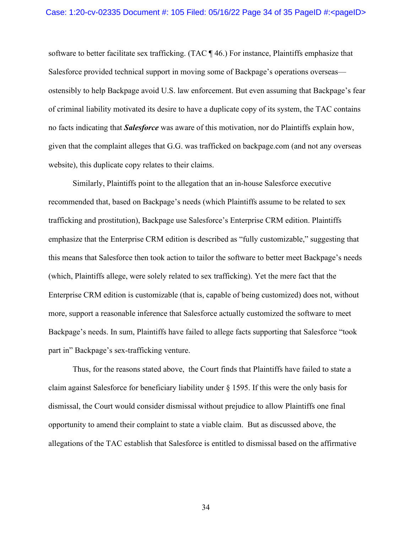software to better facilitate sex trafficking. (TAC ¶ 46.) For instance, Plaintiffs emphasize that Salesforce provided technical support in moving some of Backpage's operations overseas ostensibly to help Backpage avoid U.S. law enforcement. But even assuming that Backpage's fear of criminal liability motivated its desire to have a duplicate copy of its system, the TAC contains no facts indicating that *Salesforce* was aware of this motivation, nor do Plaintiffs explain how, given that the complaint alleges that G.G. was trafficked on backpage.com (and not any overseas website), this duplicate copy relates to their claims.

Similarly, Plaintiffs point to the allegation that an in-house Salesforce executive recommended that, based on Backpage's needs (which Plaintiffs assume to be related to sex trafficking and prostitution), Backpage use Salesforce's Enterprise CRM edition. Plaintiffs emphasize that the Enterprise CRM edition is described as "fully customizable," suggesting that this means that Salesforce then took action to tailor the software to better meet Backpage's needs (which, Plaintiffs allege, were solely related to sex trafficking). Yet the mere fact that the Enterprise CRM edition is customizable (that is, capable of being customized) does not, without more, support a reasonable inference that Salesforce actually customized the software to meet Backpage's needs. In sum, Plaintiffs have failed to allege facts supporting that Salesforce "took part in" Backpage's sex-trafficking venture.

Thus, for the reasons stated above, the Court finds that Plaintiffs have failed to state a claim against Salesforce for beneficiary liability under  $\S$  1595. If this were the only basis for dismissal, the Court would consider dismissal without prejudice to allow Plaintiffs one final opportunity to amend their complaint to state a viable claim. But as discussed above, the allegations of the TAC establish that Salesforce is entitled to dismissal based on the affirmative